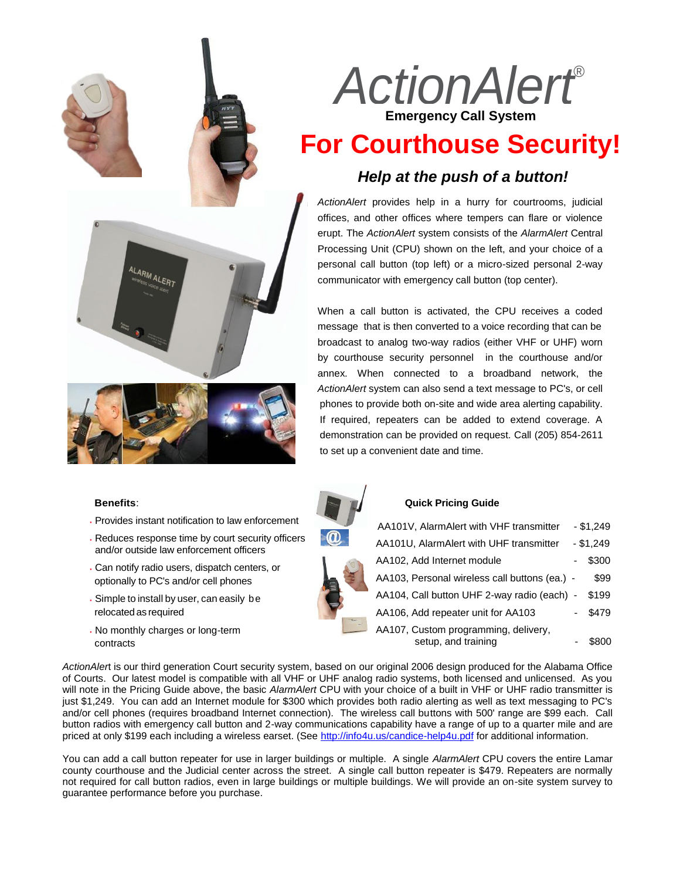



- Provides instant notification to law enforcement
- Reduces response time by court security officers and/or outside law enforcement officers
- Can notify radio users, dispatch centers, or optionally to PC's and/or cell phones
- Simple to install by user, can easily be relocatedas required
- No monthly charges or long-term contracts



# **For Courthouse Security!**

### *Help at the push of a button!*

*ActionAlert* provides help in a hurry for courtrooms, judicial offices, and other offices where tempers can flare or violence erupt. The *ActionAlert* system consists of the *AlarmAlert* Central Processing Unit (CPU) shown on the left, and your choice of a personal call button (top left) or a micro-sized personal 2-way communicator with emergency call button (top center).

When a call button is activated, the CPU receives a coded message that is then converted to a voice recording that can be broadcast to analog two-way radios (either VHF or UHF) worn by courthouse security personnel in the courthouse and/or annex. When connected to a broadband network, the *ActionAlert* system can also send a text message to PC's, or cell phones to provide both on-site and wide area alerting capability. If required, repeaters can be added to extend coverage. A demonstration can be provided on request. Call (205) 854-2611 to set up a convenient date and time.



#### **Quick Pricing Guide**

| AA101V, AlarmAlert with VHF transmitter                     | $- $1,249$ |
|-------------------------------------------------------------|------------|
| AA101U, AlarmAlert with UHF transmitter                     | $- $1,249$ |
| AA102, Add Internet module                                  | \$300      |
| AA103, Personal wireless call buttons (ea.) -               | \$99       |
| AA104, Call button UHF 2-way radio (each) -                 | \$199      |
| AA106, Add repeater unit for AA103                          | \$479      |
| AA107, Custom programming, delivery,<br>setup, and training | \$800      |

*ActionAler*t is our third generation Court security system, based on our original 2006 design produced for the Alabama Office of Courts. Our latest model is compatible with all VHF or UHF analog radio systems, both licensed and unlicensed. As you will note in the Pricing Guide above, the basic *AlarmAlert* CPU with your choice of a built in VHF or UHF radio transmitter is just \$1,249. You can add an Internet module for \$300 which provides both radio alerting as well as text messaging to PC's and/or cell phones (requires broadband Internet connection). The wireless call buttons with 500' range are \$99 each. Call button radios with emergency call button and 2-way communications capability have a range of up to a quarter mile and are priced at only \$199 each including a wireless earset. (See<http://info4u.us/candice-help4u.pdf> for additional information.

You can add a call button repeater for use in larger buildings or multiple. A single *AlarmAlert* CPU covers the entire Lamar county courthouse and the Judicial center across the street. A single call button repeater is \$479. Repeaters are normally not required for call button radios, even in large buildings or multiple buildings. We will provide an on-site system survey to guarantee performance before you purchase.